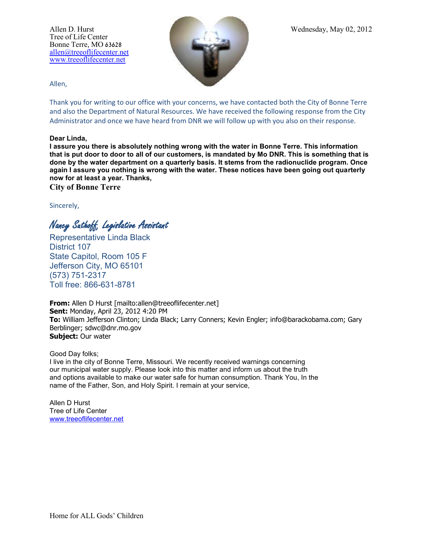Tree of Life Center Bonne Terre, MO 63628 [allen@treeoflifecenter.net](mailto:allen@treeoflifecenter.net) [www.treeoflifecenter.net](http://www.treeoflifecenter.net/)



Allen,

Thank you for writing to our office with your concerns, we have contacted both the City of Bonne Terre and also the Department of Natural Resources. We have received the following response from the City Administrator and once we have heard from DNR we will follow up with you also on their response.

## **Dear Linda,**

**I assure you there is absolutely nothing wrong with the water in Bonne Terre. This information that is put door to door to all of our customers, is mandated by Mo DNR. This is something that is done by the water department on a quarterly basis. It stems from the radionuclide program. Once again I assure you nothing is wrong with the water. These notices have been going out quarterly now for at least a year. Thanks,**

**City of Bonne Terre**

Sincerely,

Nancy Suthoff, Legislative Assistant

Representative Linda Black District 107 State Capitol, Room 105 F Jefferson City, MO 65101 (573) 751-2317 Toll free: 866-631-8781

**From:** Allen D Hurst [mailto:allen@treeoflifecenter.net] **Sent:** Monday, April 23, 2012 4:20 PM **To:** William Jefferson Clinton; Linda Black; Larry Conners; Kevin Engler; info@barackobama.com; Gary Berblinger; sdwc@dnr.mo.gov **Subject:** Our water

Good Day folks;

I live in the city of Bonne Terre, Missouri. We recently received warnings concerning our municipal water supply. Please look into this matter and inform us about the truth and options available to make our water safe for human consumption. Thank You, In the name of the Father, Son, and Holy Spirit. I remain at your service,

Allen D Hurst Tree of Life Center [www.treeoflifecenter.net](http://www.treeoflifecenter.net/)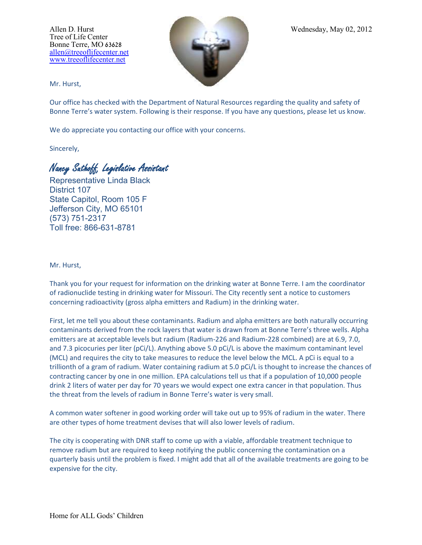Tree of Life Center Bonne Terre, MO 63628 [allen@treeoflifecenter.net](mailto:allen@treeoflifecenter.net) [www.treeoflifecenter.net](http://www.treeoflifecenter.net/)



Mr. Hurst,

Our office has checked with the Department of Natural Resources regarding the quality and safety of Bonne Terre's water system. Following is their response. If you have any questions, please let us know.

We do appreciate you contacting our office with your concerns.

Sincerely,

Nancy Suthoff, Legislative Assistant

Representative Linda Black District 107 State Capitol, Room 105 F Jefferson City, MO 65101 (573) 751-2317 Toll free: 866-631-8781

## Mr. Hurst,

Thank you for your request for information on the drinking water at Bonne Terre. I am the coordinator of radionuclide testing in drinking water for Missouri. The City recently sent a notice to customers concerning radioactivity (gross alpha emitters and Radium) in the drinking water.

First, let me tell you about these contaminants. Radium and alpha emitters are both naturally occurring contaminants derived from the rock layers that water is drawn from at Bonne Terre's three wells. Alpha emitters are at acceptable levels but radium (Radium-226 and Radium-228 combined) are at 6.9, 7.0, and 7.3 picocuries per liter (pCi/L). Anything above 5.0 pCi/L is above the maximum contaminant level (MCL) and requires the city to take measures to reduce the level below the MCL. A pCi is equal to a trillionth of a gram of radium. Water containing radium at 5.0 pCi/L is thought to increase the chances of contracting cancer by one in one million. EPA calculations tell us that if a population of 10,000 people drink 2 liters of water per day for 70 years we would expect one extra cancer in that population. Thus the threat from the levels of radium in Bonne Terre's water is very small.

A common water softener in good working order will take out up to 95% of radium in the water. There are other types of home treatment devises that will also lower levels of radium.

The city is cooperating with DNR staff to come up with a viable, affordable treatment technique to remove radium but are required to keep notifying the public concerning the contamination on a quarterly basis until the problem is fixed. I might add that all of the available treatments are going to be expensive for the city.